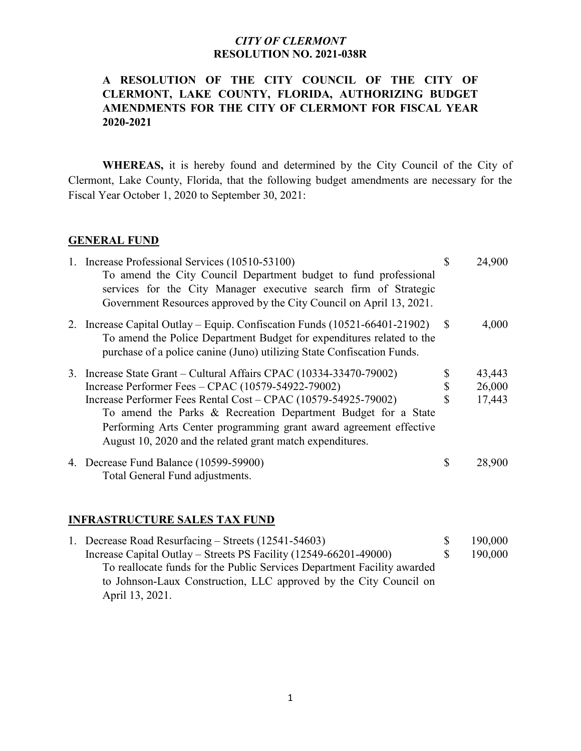# **A RESOLUTION OF THE CITY COUNCIL OF THE CITY OF CLERMONT, LAKE COUNTY, FLORIDA, AUTHORIZING BUDGET AMENDMENTS FOR THE CITY OF CLERMONT FOR FISCAL YEAR 2020-2021**

**WHEREAS,** it is hereby found and determined by the City Council of the City of Clermont, Lake County, Florida, that the following budget amendments are necessary for the Fiscal Year October 1, 2020 to September 30, 2021:

#### **GENERAL FUND**

| 1. Increase Professional Services (10510-53100)<br>To amend the City Council Department budget to fund professional<br>services for the City Manager executive search firm of Strategic<br>Government Resources approved by the City Council on April 13, 2021.    | S  | 24,900 |
|--------------------------------------------------------------------------------------------------------------------------------------------------------------------------------------------------------------------------------------------------------------------|----|--------|
| 2. Increase Capital Outlay – Equip. Confiscation Funds (10521-66401-21902)<br>To amend the Police Department Budget for expenditures related to the<br>purchase of a police canine (Juno) utilizing State Confiscation Funds.                                      | -S | 4,000  |
| 3. Increase State Grant – Cultural Affairs CPAC (10334-33470-79002)                                                                                                                                                                                                |    | 43,443 |
| Increase Performer Fees - CPAC (10579-54922-79002)                                                                                                                                                                                                                 |    | 26,000 |
| Increase Performer Fees Rental Cost – CPAC (10579-54925-79002)<br>To amend the Parks & Recreation Department Budget for a State<br>Performing Arts Center programming grant award agreement effective<br>August 10, 2020 and the related grant match expenditures. |    | 17,443 |
| 4. Decrease Fund Balance (10599-59900)<br>Total General Fund adjustments.                                                                                                                                                                                          | \$ | 28,900 |

### **INFRASTRUCTURE SALES TAX FUND**

|  | 1. Decrease Road Resurfacing – Streets (12541-54603)                    | 190,000 |
|--|-------------------------------------------------------------------------|---------|
|  | Increase Capital Outlay – Streets PS Facility $(12549-66201-49000)$     | 190,000 |
|  | To reallocate funds for the Public Services Department Facility awarded |         |
|  | to Johnson-Laux Construction, LLC approved by the City Council on       |         |
|  | April 13, 2021.                                                         |         |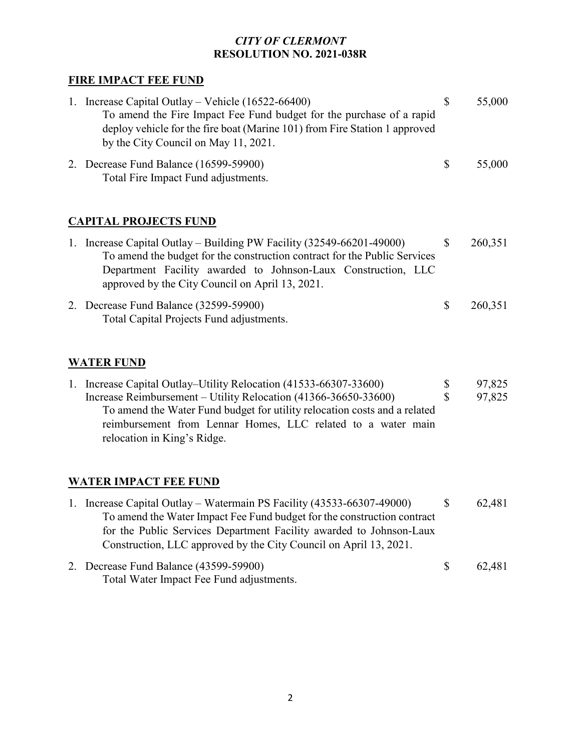# **FIRE IMPACT FEE FUND**

| $\mathbf{L}$ | Increase Capital Outlay – Vehicle $(16522 - 66400)$<br>To amend the Fire Impact Fee Fund budget for the purchase of a rapid<br>deploy vehicle for the fire boat (Marine 101) from Fire Station 1 approved<br>by the City Council on May 11, 2021. |    | 55,000 |
|--------------|---------------------------------------------------------------------------------------------------------------------------------------------------------------------------------------------------------------------------------------------------|----|--------|
|              | 2. Decrease Fund Balance (16599-59900)<br>Total Fire Impact Fund adjustments.                                                                                                                                                                     | -S | 55,000 |

# **CAPITAL PROJECTS FUND**

| 1. Increase Capital Outlay – Building PW Facility (32549-66201-49000)                                            |     | 260,351 |
|------------------------------------------------------------------------------------------------------------------|-----|---------|
| To amend the budget for the construction contract for the Public Services                                        |     |         |
| Department Facility awarded to Johnson-Laux Construction, LLC<br>approved by the City Council on April 13, 2021. |     |         |
| 2. Decrease Fund Balance (32599-59900)<br>Total Capital Projects Fund adjustments.                               | -SS | 260,351 |

# **WATER FUND**

| 1. Increase Capital Outlay–Utility Relocation (41533-66307-33600)         | -SS | 97,825 |
|---------------------------------------------------------------------------|-----|--------|
| Increase Reimbursement – Utility Relocation (41366-36650-33600)           |     | 97,825 |
| To amend the Water Fund budget for utility relocation costs and a related |     |        |
| reimbursement from Lennar Homes, LLC related to a water main              |     |        |
| relocation in King's Ridge.                                               |     |        |

# **WATER IMPACT FEE FUND**

| 1. Increase Capital Outlay – Watermain PS Facility (43533-66307-49000)  |              | 62,481 |
|-------------------------------------------------------------------------|--------------|--------|
| To amend the Water Impact Fee Fund budget for the construction contract |              |        |
| for the Public Services Department Facility awarded to Johnson-Laux     |              |        |
| Construction, LLC approved by the City Council on April 13, 2021.       |              |        |
| 2. Decrease Fund Balance (43599-59900)                                  | <sup>S</sup> | 62,481 |
| Total Water Impact Fee Fund adjustments.                                |              |        |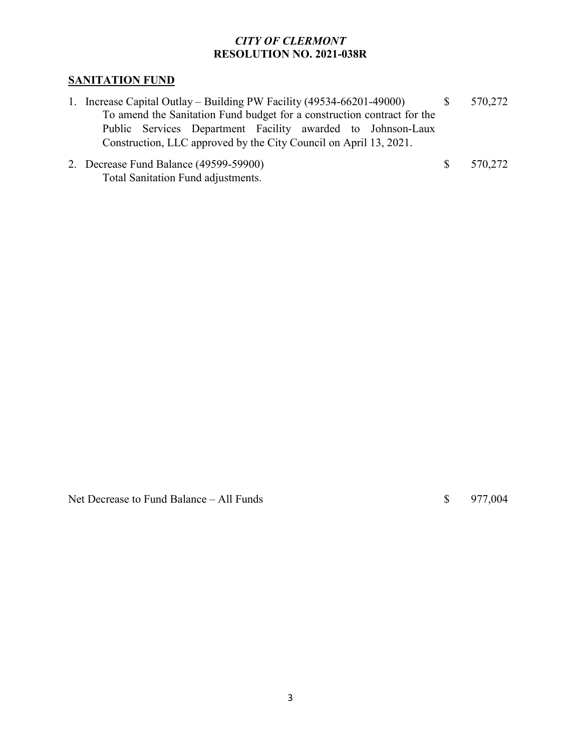# **SANITATION FUND**

- 1. Increase Capital Outlay Building PW Facility (49534-66201-49000) \$ 570,272 To amend the Sanitation Fund budget for a construction contract for the Public Services Department Facility awarded to Johnson-Laux Construction, LLC approved by the City Council on April 13, 2021.
- 2. Decrease Fund Balance (49599-59900) \$ 570,272 Total Sanitation Fund adjustments.

Net Decrease to Fund Balance – All Funds  $\qquad$  \$ 977,004